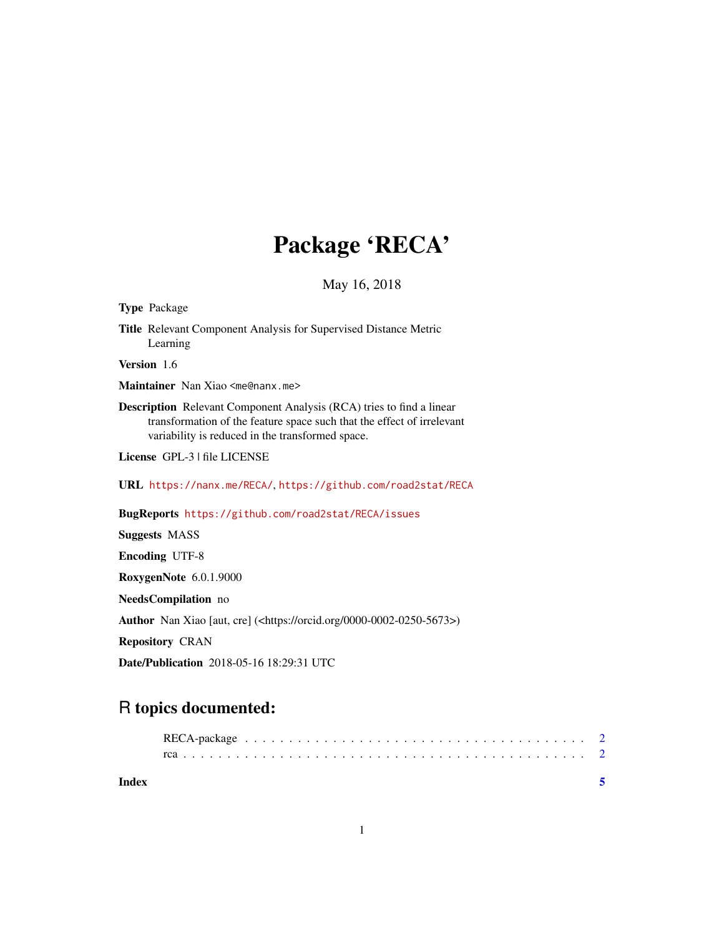# Package 'RECA'

May 16, 2018

# Type Package Title Relevant Component Analysis for Supervised Distance Metric Learning Version 1.6 Maintainer Nan Xiao <me@nanx.me> Description Relevant Component Analysis (RCA) tries to find a linear transformation of the feature space such that the effect of irrelevant variability is reduced in the transformed space. License GPL-3 | file LICENSE URL <https://nanx.me/RECA/>, <https://github.com/road2stat/RECA> BugReports <https://github.com/road2stat/RECA/issues> Suggests MASS Encoding UTF-8

RoxygenNote 6.0.1.9000

NeedsCompilation no

Author Nan Xiao [aut, cre] (<https://orcid.org/0000-0002-0250-5673>)

Repository CRAN

Date/Publication 2018-05-16 18:29:31 UTC

## R topics documented:

| Index |  |
|-------|--|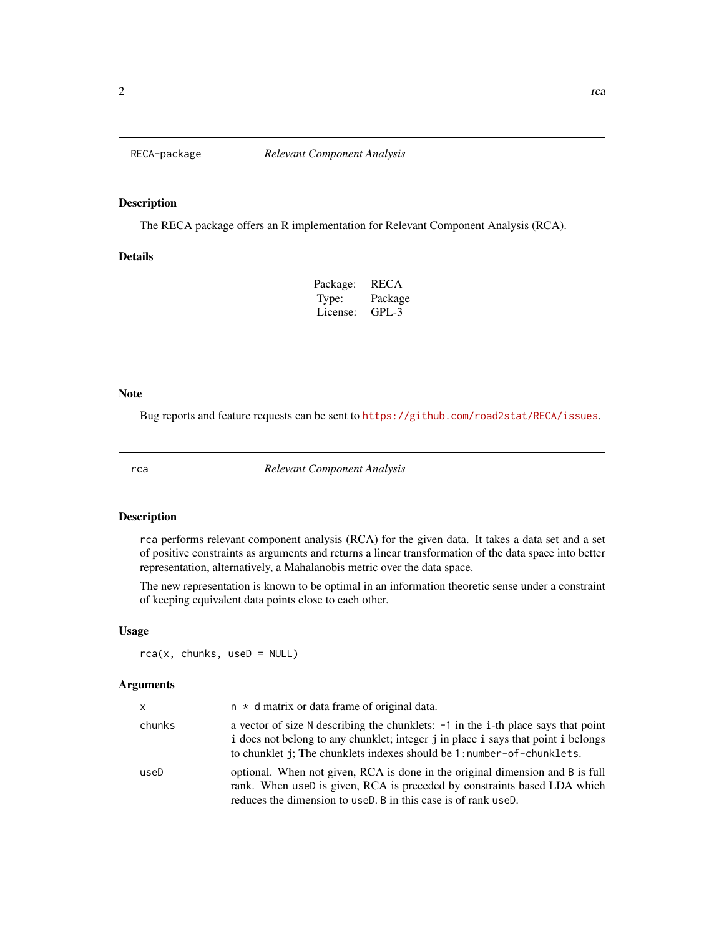### <span id="page-1-0"></span>Description

The RECA package offers an R implementation for Relevant Component Analysis (RCA).

#### Details

| Package: | <b>RECA</b> |
|----------|-------------|
| Type:    | Package     |
| License: | GPL-3       |

#### Note

Bug reports and feature requests can be sent to <https://github.com/road2stat/RECA/issues>.

rca *Relevant Component Analysis*

#### Description

rca performs relevant component analysis (RCA) for the given data. It takes a data set and a set of positive constraints as arguments and returns a linear transformation of the data space into better representation, alternatively, a Mahalanobis metric over the data space.

The new representation is known to be optimal in an information theoretic sense under a constraint of keeping equivalent data points close to each other.

#### Usage

 $rca(x, chunks, useD = NULL)$ 

#### Arguments

| x      | $n \times d$ matrix or data frame of original data.                                                                                                                                                                                                |
|--------|----------------------------------------------------------------------------------------------------------------------------------------------------------------------------------------------------------------------------------------------------|
| chunks | a vector of size N describing the chunklets: $-1$ in the i-th place says that point<br>i does not belong to any chunklet; integer j in place i says that point i belongs<br>to chunklet j; The chunklets indexes should be 1: number-of-chunklets. |
| useD   | optional. When not given, RCA is done in the original dimension and B is full<br>rank. When useD is given, RCA is preceded by constraints based LDA which<br>reduces the dimension to use D. B in this case is of rank use D.                      |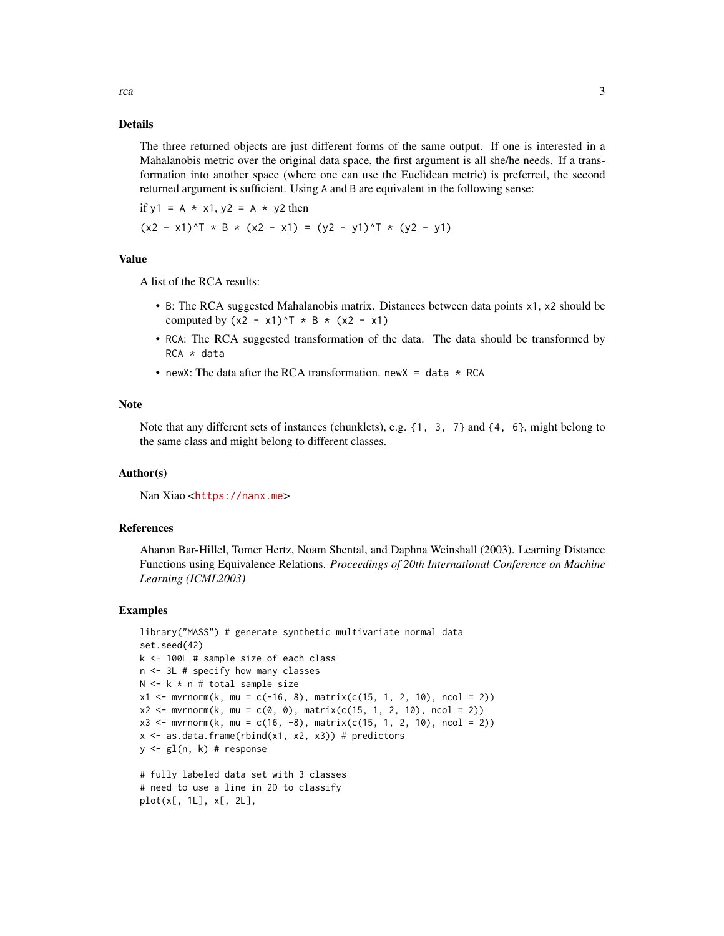The three returned objects are just different forms of the same output. If one is interested in a Mahalanobis metric over the original data space, the first argument is all she/he needs. If a transformation into another space (where one can use the Euclidean metric) is preferred, the second returned argument is sufficient. Using A and B are equivalent in the following sense:

if  $y1 = A \times x1$ ,  $y2 = A \times y2$  then

 $(x2 - x1)^T * B * (x2 - x1) = (y2 - y1)^T * (y2 - y1)$ 

#### Value

A list of the RCA results:

- B: The RCA suggested Mahalanobis matrix. Distances between data points x1, x2 should be computed by  $(x2 - x1)^T$  \* B \*  $(x2 - x1)$
- RCA: The RCA suggested transformation of the data. The data should be transformed by RCA \* data
- newX: The data after the RCA transformation. newX = data  $*$  RCA

#### Note

Note that any different sets of instances (chunklets), e.g.  $\{1, 3, 7\}$  and  $\{4, 6\}$ , might belong to the same class and might belong to different classes.

#### Author(s)

Nan Xiao <<https://nanx.me>>

plot(x[, 1L], x[, 2L],

#### References

Aharon Bar-Hillel, Tomer Hertz, Noam Shental, and Daphna Weinshall (2003). Learning Distance Functions using Equivalence Relations. *Proceedings of 20th International Conference on Machine Learning (ICML2003)*

#### Examples

```
library("MASS") # generate synthetic multivariate normal data
set.seed(42)
k <- 100L # sample size of each class
n <- 3L # specify how many classes
N \leq k * n # total sample size
x1 \le m wrnorm(k, mu = c(-16, 8), matrix(c(15, 1, 2, 10), ncol = 2))
x2 \le m wrnorm(k, mu = c(0, 0), matrix(c(15, 1, 2, 10), ncol = 2))
x3 \le mvrnorm(k, mu = c(16, -8), matrix(c(15, 1, 2, 10), ncol = 2))
x \le - as.data.frame(rbind(x1, x2, x3)) # predictors
y \leftarrow gl(n, k) # response
# fully labeled data set with 3 classes
# need to use a line in 2D to classify
```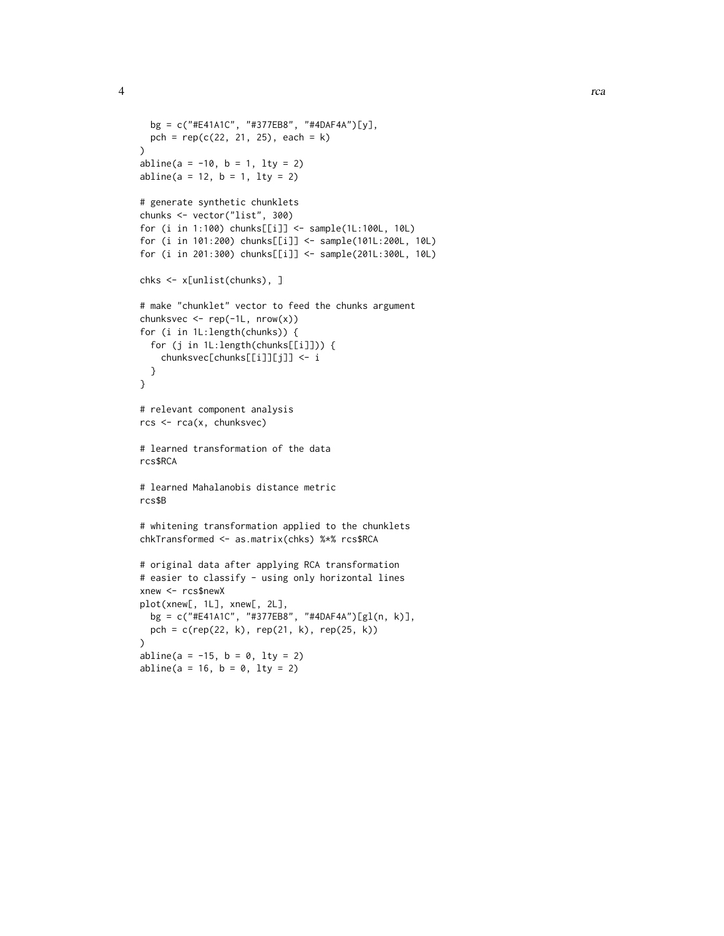```
bg = c("#E41A1C", "#377EB8", "#4DAF4A")[y],
 pch = rep(c(22, 21, 25), each = k)abline(a = -10, b = 1, lty = 2)abline(a = 12, b = 1, lty = 2)# generate synthetic chunklets
chunks <- vector("list", 300)
for (i in 1:100) chunks[[i]] <- sample(1L:100L, 10L)
for (i in 101:200) chunks[[i]] <- sample(101L:200L, 10L)
for (i in 201:300) chunks[[i]] <- sample(201L:300L, 10L)
chks <- x[unlist(chunks), ]
# make "chunklet" vector to feed the chunks argument
```

```
chunksvec \leq rep(-1L, nrow(x))
for (i in 1L:length(chunks)) {
  for (j in 1L:length(chunks[[i]])) {
    chunksvec[chunks[[i]][j]] <- i
  }
}
```

```
# relevant component analysis
rcs <- rca(x, chunksvec)
```

```
# learned transformation of the data
rcs$RCA
```

```
# learned Mahalanobis distance metric
rcs$B
```

```
# whitening transformation applied to the chunklets
chkTransformed <- as.matrix(chks) %*% rcs$RCA
```

```
# original data after applying RCA transformation
# easier to classify - using only horizontal lines
xnew <- rcs$newX
plot(xnew[, 1L], xnew[, 2L],
 bg = c("#E41A1C", "#377EB8", "#4DAF4A")[gl(n, k)],
 pch = c(rep(22, k), rep(21, k), rep(25, k))
)
abline(a = -15, b = 0, lty = 2)
abline(a = 16, b = 0, lty = 2)
```

```
4 and 2 real contracts to the contract of the contract of the contract of the contract of the contract of the contract of the contract of the contract of the contract of the contract of the contract of the contract of the
```
)